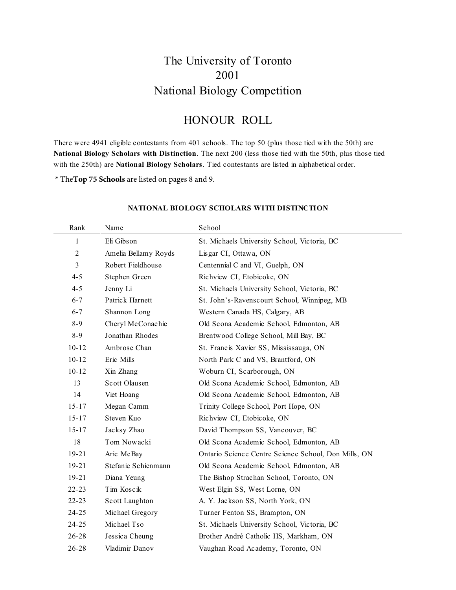## The University of Toronto 2001 National Biology Competition

### HONOUR ROLL

There were 4941 eligible contestants from 401 schools. The top 50 (plus those tied with the 50th) are **National Biology Scholars with Distinction**. The next 200 (less those tied with the 50th, plus those tied with the 250th) are **National Biology Scholars**. Tied contestants are listed in alphabetical order.

\* The**Top 75 Schools** are listed on pages 8 and 9.

| Rank         | Name                  | School                                               |
|--------------|-----------------------|------------------------------------------------------|
| $\mathbf{1}$ | Eli Gibson            | St. Michaels University School, Victoria, BC         |
| 2            | Amelia Bellamy Royds  | Lisgar CI, Ottawa, ON                                |
| 3            | Robert Fieldhouse     | Centennial C and VI, Guelph, ON                      |
| $4 - 5$      | Stephen Green         | Richview CI, Etobicoke, ON                           |
| $4 - 5$      | Jenny Li              | St. Michaels University School, Victoria, BC         |
| $6 - 7$      | Patrick Harnett       | St. John's-Ravenscourt School, Winnipeg, MB          |
| $6 - 7$      | Shannon Long          | Western Canada HS, Calgary, AB                       |
| $8 - 9$      | Cheryl McConachie     | Old Scona Academic School, Edmonton, AB              |
| $8 - 9$      | Jonathan Rhodes       | Brentwood College School, Mill Bay, BC               |
| $10 - 12$    | Ambrose Chan          | St. Francis Xavier SS, Mississauga, ON               |
| $10 - 12$    | Eric Mills            | North Park C and VS, Brantford, ON                   |
| $10 - 12$    | Xin Zhang             | Woburn CI, Scarborough, ON                           |
| 13           | Scott Olausen         | Old Scona Academic School, Edmonton, AB              |
| 14           | Viet Hoang            | Old Scona Academic School, Edmonton, AB              |
| $15 - 17$    | Megan Camm            | Trinity College School, Port Hope, ON                |
| $15 - 17$    | Steven Kuo            | Richview CI, Etobicoke, ON                           |
| $15 - 17$    | Jacksy Zhao           | David Thompson SS, Vancouver, BC                     |
| 18           | Tom Nowacki           | Old Scona Academic School, Edmonton, AB              |
| $19 - 21$    | Aric McBay            | Ontario Science Centre Science School, Don Mills, ON |
| $19 - 21$    | Stefanie Schienmann   | Old Scona Academic School, Edmonton, AB              |
| $19 - 21$    | Diana Yeung           | The Bishop Strachan School, Toronto, ON              |
| $22 - 23$    | Tim Koscik            | West Elgin SS, West Lorne, ON                        |
| $22 - 23$    | <b>Scott Laughton</b> | A. Y. Jackson SS, North York, ON                     |
| $24 - 25$    | Michael Gregory       | Turner Fenton SS, Brampton, ON                       |
| $24 - 25$    | Michael Tso           | St. Michaels University School, Victoria, BC         |
| $26 - 28$    | Jessica Cheung        | Brother André Catholic HS, Markham, ON               |
| $26 - 28$    | Vladimir Danov        | Vaughan Road Academy, Toronto, ON                    |

#### **NATIONAL BIOLOGY SCHOLARS WITH DISTINCTION**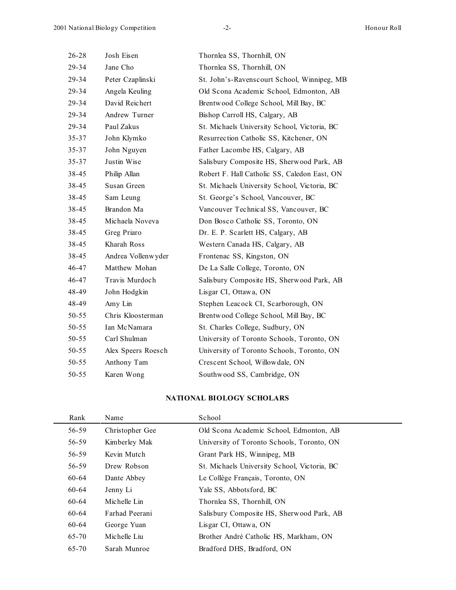| $26 - 28$ | Josh Eisen         | Thornlea SS, Thornhill, ON                   |
|-----------|--------------------|----------------------------------------------|
| 29-34     | Jane Cho           | Thornlea SS, Thornhill, ON                   |
| 29-34     | Peter Czaplinski   | St. John's-Ravenscourt School, Winnipeg, MB  |
| 29-34     | Angela Keuling     | Old Scona Academic School, Edmonton, AB      |
| 29-34     | David Reichert     | Brentwood College School, Mill Bay, BC       |
| 29-34     | Andrew Turner      | Bishop Carroll HS, Calgary, AB               |
| 29-34     | Paul Zakus         | St. Michaels University School, Victoria, BC |
| $35 - 37$ | John Klymko        | Resurrection Catholic SS, Kitchener, ON      |
| $35 - 37$ | John Nguyen        | Father Lacombe HS, Calgary, AB               |
| $35 - 37$ | Justin Wise        | Salisbury Composite HS, Sherwood Park, AB    |
| 38-45     | Philip Allan       | Robert F. Hall Catholic SS, Caledon East, ON |
| 38-45     | Susan Green        | St. Michaels University School, Victoria, BC |
| 38-45     | Sam Leung          | St. George's School, Vancouver, BC           |
| 38-45     | Brandon Ma         | Vancouver Technical SS, Vancouver, BC        |
| 38-45     | Michaela Noveva    | Don Bosco Catholic SS, Toronto, ON           |
| 38-45     | Greg Priaro        | Dr. E. P. Scarlett HS, Calgary, AB           |
| 38-45     | Kharah Ross        | Western Canada HS, Calgary, AB               |
| 38-45     | Andrea Vollenwyder | Frontenac SS, Kingston, ON                   |
| 46-47     | Matthew Mohan      | De La Salle College, Toronto, ON             |
| 46-47     | Travis Murdoch     | Salisbury Composite HS, Sherwood Park, AB    |
| 48-49     | John Hodgkin       | Lisgar CI, Ottawa, ON                        |
| 48-49     | Amy Lin            | Stephen Leacock CI, Scarborough, ON          |
| $50 - 55$ | Chris Kloosterman  | Brentwood College School, Mill Bay, BC       |
| $50 - 55$ | Ian McNamara       | St. Charles College, Sudbury, ON             |
| $50 - 55$ | Carl Shulman       | University of Toronto Schools, Toronto, ON   |
| $50 - 55$ | Alex Speers Roesch | University of Toronto Schools, Toronto, ON   |
| $50 - 55$ | Anthony Tam        | Crescent School, Willowdale, ON              |
| 50-55     | Karen Wong         | Southwood SS, Cambridge, ON                  |

#### **NATIONAL BIOLOGY SCHOLARS**

| Rank  | Name            | School                                       |
|-------|-----------------|----------------------------------------------|
| 56-59 | Christopher Gee | Old Scona Academic School, Edmonton, AB      |
| 56-59 | Kimberley Mak   | University of Toronto Schools, Toronto, ON   |
| 56-59 | Kevin Mutch     | Grant Park HS, Winnipeg, MB                  |
| 56-59 | Drew Robson     | St. Michaels University School, Victoria, BC |
| 60-64 | Dante Abbey     | Le Collège Français, Toronto, ON             |
| 60-64 | Jenny Li        | Yale SS, Abbotsford, BC                      |
| 60-64 | Michelle Lin    | Thornlea SS, Thornhill, ON                   |
| 60-64 | Farhad Peerani  | Salisbury Composite HS, Sherwood Park, AB    |
| 60-64 | George Yuan     | Lisgar CI, Ottawa, ON                        |
| 65-70 | Michelle Liu    | Brother André Catholic HS, Markham, ON       |
| 65-70 | Sarah Munroe    | Bradford DHS, Bradford, ON                   |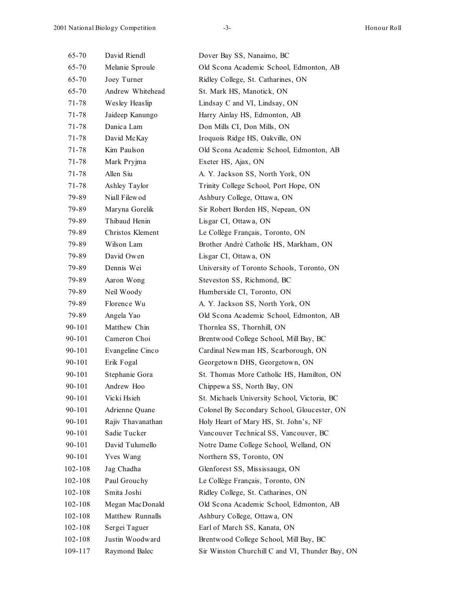| 65-70   | David Riendl      | Dover Bay SS, Nanaimo, BC                       |
|---------|-------------------|-------------------------------------------------|
| 65-70   | Melanie Sproule   | Old Scona Academic School, Edmonton, AB         |
| 65-70   | Joey Turner       | Ridley College, St. Catharines, ON              |
| 65-70   | Andrew Whitehead  | St. Mark HS, Manotick, ON                       |
| 71-78   | Wesley Heaslip    | Lindsay C and VI, Lindsay, ON                   |
| 71-78   | Jaideep Kanungo   | Harry Ainlay HS, Edmonton, AB                   |
| 71-78   | Danica Lam        | Don Mills CI, Don Mills, ON                     |
| 71-78   | David McKay       | Iroquois Ridge HS, Oakville, ON                 |
| 71-78   | Kim Paulson       | Old Scona Academic School, Edmonton, AB         |
| 71-78   | Mark Pryjma       | Exeter HS, Ajax, ON                             |
| 71-78   | Allen Siu         | A. Y. Jackson SS, North York, ON                |
| 71-78   | Ashley Taylor     | Trinity College School, Port Hope, ON           |
| 79-89   | Niall Filewod     | Ashbury College, Ottawa, ON                     |
| 79-89   | Maryna Gorelik    | Sir Robert Borden HS, Nepean, ON                |
| 79-89   | Thibaud Henin     | Lisgar CI, Ottawa, ON                           |
| 79-89   | Christos Klement  | Le Collège Français, Toronto, ON                |
| 79-89   | Wilson Lam        | Brother André Catholic HS, Markham, ON          |
| 79-89   | David Owen        | Lisgar CI, Ottawa, ON                           |
| 79-89   | Dennis Wei        | University of Toronto Schools, Toronto, ON      |
| 79-89   | Aaron Wong        | Steveston SS, Richmond, BC                      |
| 79-89   | Neil Woody        | Humberside CI, Toronto, ON                      |
| 79-89   | Florence Wu       | A. Y. Jackson SS, North York, ON                |
| 79-89   | Angela Yao        | Old Scona Academic School, Edmonton, AB         |
| 90-101  | Matthew Chin      | Thornlea SS, Thornhill, ON                      |
| 90-101  | Cameron Choi      | Brentwood College School, Mill Bay, BC          |
| 90-101  | Evangeline Cinco  | Cardinal Newman HS, Scarborough, ON             |
| 90-101  | Erik Fogal        | Georgetown DHS, Georgetown, ON                  |
| 90-101  | Stephanie Gora    | St. Thomas More Catholic HS, Hamilton, ON       |
| 90-101  | Andrew Hoo        | Chippewa SS, North Bay, ON                      |
| 90-101  | Vicki Hsieh       | St. Michaels University School, Victoria, BC    |
| 90-101  | Adrienne Quane    | Colonel By Secondary School, Gloucester, ON     |
| 90-101  | Rajiv Thavanathan | Holy Heart of Mary HS, St. John's, NF           |
| 90-101  | Sadie Tucker      | Vancouver Technical SS, Vancouver, BC           |
| 90-101  | David Tulumello   | Notre Dame College School, Welland, ON          |
| 90-101  | Yves Wang         | Northern SS, Toronto, ON                        |
| 102-108 | Jag Chadha        | Glenforest SS, Mississauga, ON                  |
| 102-108 | Paul Grouchy      | Le Collège Français, Toronto, ON                |
| 102-108 | Smita Joshi       | Ridley College, St. Catharines, ON              |
| 102-108 | Megan MacDonald   | Old Scona Academic School, Edmonton, AB         |
| 102-108 | Matthew Runnalls  | Ashbury College, Ottawa, ON                     |
| 102-108 | Sergei Taguer     | Earl of March SS, Kanata, ON                    |
| 102-108 | Justin Woodward   | Brentwood College School, Mill Bay, BC          |
| 109-117 | Raymond Balec     | Sir Winston Churchill C and VI, Thunder Bay, ON |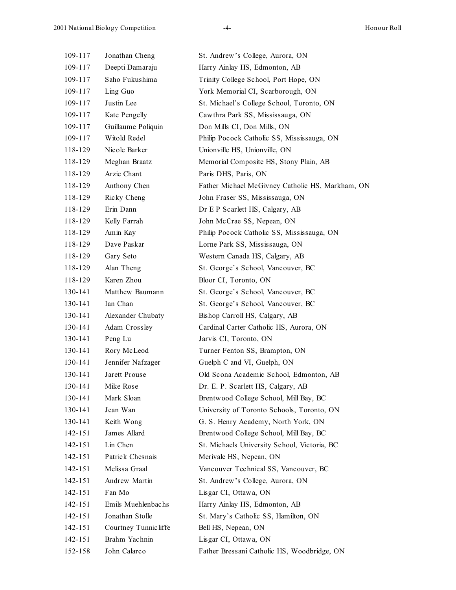| 109-117 | Jonathan Cheng        | St. Andrew's College, Aurora, ON                 |
|---------|-----------------------|--------------------------------------------------|
| 109-117 | Deepti Damaraju       | Harry Ainlay HS, Edmonton, AB                    |
| 109-117 | Saho Fukushima        | Trinity College School, Port Hope, ON            |
| 109-117 | Ling Guo              | York Memorial CI, Scarborough, ON                |
| 109-117 | Justin Lee            | St. Michael's College School, Toronto, ON        |
| 109-117 | Kate Pengelly         | Cawthra Park SS, Mississauga, ON                 |
| 109-117 | Guillaume Poliquin    | Don Mills CI, Don Mills, ON                      |
| 109-117 | Witold Redel          | Philip Pocock Catholic SS, Mississauga, ON       |
| 118-129 | Nicole Barker         | Unionville HS, Unionville, ON                    |
| 118-129 | Meghan Braatz         | Memorial Composite HS, Stony Plain, AB           |
| 118-129 | Arzie Chant           | Paris DHS, Paris, ON                             |
| 118-129 | Anthony Chen          | Father Michael McGivney Catholic HS, Markham, ON |
| 118-129 | Ricky Cheng           | John Fraser SS, Mississauga, ON                  |
| 118-129 | Erin Dann             | Dr E P Scarlett HS, Calgary, AB                  |
| 118-129 | Kelly Farrah          | John McCrae SS, Nepean, ON                       |
| 118-129 | Amin Kay              | Philip Pocock Catholic SS, Mississauga, ON       |
| 118-129 | Dave Paskar           | Lorne Park SS, Mississauga, ON                   |
| 118-129 | Gary Seto             | Western Canada HS, Calgary, AB                   |
| 118-129 | Alan Theng            | St. George's School, Vancouver, BC               |
| 118-129 | Karen Zhou            | Bloor CI, Toronto, ON                            |
| 130-141 | Matthew Baumann       | St. George's School, Vancouver, BC               |
| 130-141 | Ian Chan              | St. George's School, Vancouver, BC               |
| 130-141 | Alexander Chubaty     | Bishop Carroll HS, Calgary, AB                   |
| 130-141 | Adam Crossley         | Cardinal Carter Catholic HS, Aurora, ON          |
| 130-141 | Peng Lu               | Jarvis CI, Toronto, ON                           |
| 130-141 | Rory McLeod           | Turner Fenton SS, Brampton, ON                   |
| 130-141 | Jennifer Nafzager     | Guelph C and VI, Guelph, ON                      |
| 130-141 | Jarett Prouse         | Old Scona Academic School, Edmonton, AB          |
| 130-141 | Mike Rose             | Dr. E. P. Scarlett HS, Calgary, AB               |
| 130-141 | Mark Sloan            | Brentwood College School, Mill Bay, BC           |
| 130-141 | Jean Wan              | University of Toronto Schools, Toronto, ON       |
| 130-141 | Keith Wong            | G. S. Henry Academy, North York, ON              |
| 142-151 | James Allard          | Brentwood College School, Mill Bay, BC           |
| 142-151 | Lin Chen              | St. Michaels University School, Victoria, BC     |
| 142-151 | Patrick Chesnais      | Merivale HS, Nepean, ON                          |
| 142-151 | Melissa Graal         | Vancouver Technical SS, Vancouver, BC            |
| 142-151 | Andrew Martin         | St. Andrew's College, Aurora, ON                 |
| 142-151 | Fan Mo                | Lisgar CI, Ottawa, ON                            |
| 142-151 | Emils Muehlenbachs    | Harry Ainlay HS, Edmonton, AB                    |
| 142-151 | Jonathan Stolle       | St. Mary's Catholic SS, Hamilton, ON             |
| 142-151 | Courtney Tunnic liffe | Bell HS, Nepean, ON                              |
| 142-151 | Brahm Yachnin         | Lisgar CI, Ottawa, ON                            |
| 152-158 | John Calarco          | Father Bressani Catholic HS, Woodbridge, ON      |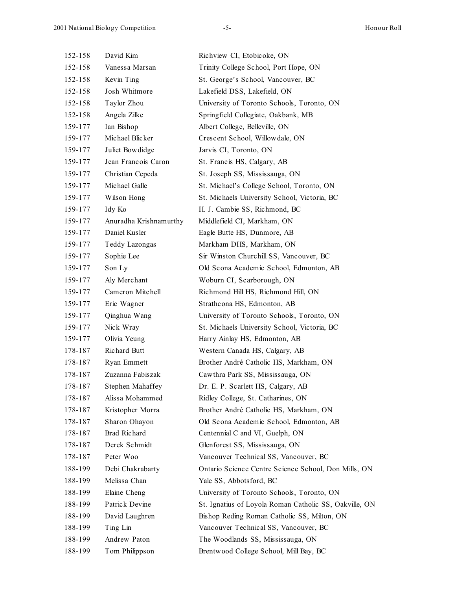| 152-158 | David Kim              | Richview CI, Etobicoke, ON                             |
|---------|------------------------|--------------------------------------------------------|
| 152-158 | Vanessa Marsan         | Trinity College School, Port Hope, ON                  |
| 152-158 | Kevin Ting             | St. George's School, Vancouver, BC                     |
| 152-158 | Josh Whitmore          | Lakefield DSS, Lakefield, ON                           |
| 152-158 | Taylor Zhou            | University of Toronto Schools, Toronto, ON             |
| 152-158 | Angela Zilke           | Springfield Collegiate, Oakbank, MB                    |
| 159-177 | Ian Bishop             | Albert College, Belleville, ON                         |
| 159-177 | Michael Blicker        | Crescent School, Willowdale, ON                        |
| 159-177 | Juliet Bowdidge        | Jarvis CI, Toronto, ON                                 |
| 159-177 | Jean Francois Caron    | St. Francis HS, Calgary, AB                            |
| 159-177 | Christian Cepeda       | St. Joseph SS, Mississauga, ON                         |
| 159-177 | Michael Galle          | St. Michael's College School, Toronto, ON              |
| 159-177 | Wilson Hong            | St. Michaels University School, Victoria, BC           |
| 159-177 | Idy Ko                 | H. J. Cambie SS, Richmond, BC                          |
| 159-177 | Anuradha Krishnamurthy | Middlefield CI, Markham, ON                            |
| 159-177 | Daniel Kusler          | Eagle Butte HS, Dunmore, AB                            |
| 159-177 | Teddy Lazongas         | Markham DHS, Markham, ON                               |
| 159-177 | Sophie Lee             | Sir Winston Churchill SS, Vancouver, BC                |
| 159-177 | Son Ly                 | Old Scona Academic School, Edmonton, AB                |
| 159-177 | Aly Merchant           | Woburn CI, Scarborough, ON                             |
| 159-177 | Cameron Mitchell       | Richmond Hill HS, Richmond Hill, ON                    |
| 159-177 | Eric Wagner            | Strathcona HS, Edmonton, AB                            |
| 159-177 | Qinghua Wang           | University of Toronto Schools, Toronto, ON             |
| 159-177 | Nick Wray              | St. Michaels University School, Victoria, BC           |
| 159-177 | Olivia Yeung           | Harry Ainlay HS, Edmonton, AB                          |
| 178-187 | Richard Butt           | Western Canada HS, Calgary, AB                         |
| 178-187 | Ryan Emmett            | Brother André Catholic HS, Markham, ON                 |
| 178-187 | Zuzanna Fabiszak       | Cawthra Park SS, Mississauga, ON                       |
| 178-187 | Stephen Mahaffey       | Dr. E. P. Scarlett HS, Calgary, AB                     |
| 178-187 | Alissa Mohammed        | Ridley College, St. Catharines, ON                     |
| 178-187 | Kristopher Morra       | Brother André Catholic HS, Markham, ON                 |
| 178-187 | Sharon Ohayon          | Old Scona Academic School, Edmonton, AB                |
| 178-187 | <b>Brad Richard</b>    | Centennial C and VI, Guelph, ON                        |
| 178-187 | Derek Schmidt          | Glenforest SS, Mississauga, ON                         |
| 178-187 | Peter Woo              | Vancouver Technical SS, Vancouver, BC                  |
| 188-199 | Debi Chakrabarty       | Ontario Science Centre Science School, Don Mills, ON   |
| 188-199 | Melissa Chan           | Yale SS, Abbotsford, BC                                |
| 188-199 | Elaine Cheng           | University of Toronto Schools, Toronto, ON             |
| 188-199 | Patrick Devine         | St. Ignatius of Loyola Roman Catholic SS, Oakville, ON |
| 188-199 | David Laughren         | Bishop Reding Roman Catholic SS, Milton, ON            |
| 188-199 | Ting Lin               | Vancouver Technical SS, Vancouver, BC                  |
| 188-199 | Andrew Paton           | The Woodlands SS, Mississauga, ON                      |
| 188-199 | Tom Philippson         | Brentwood College School, Mill Bay, BC                 |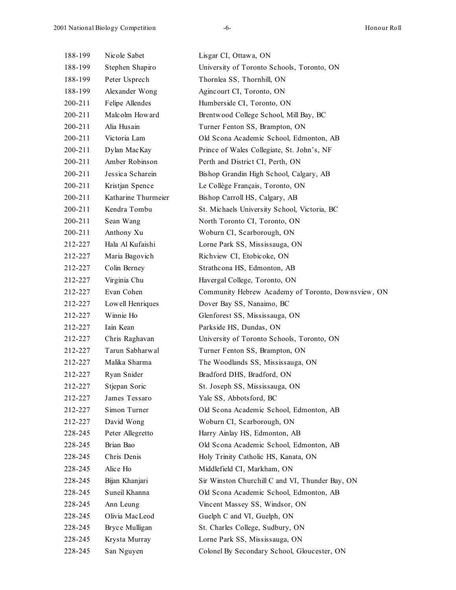| 188-199 | Nicole Sabet        | Lisgar CI, Ottawa, ON                              |
|---------|---------------------|----------------------------------------------------|
| 188-199 | Stephen Shapiro     | University of Toronto Schools, Toronto, ON         |
| 188-199 | Peter Usprech       | Thornlea SS, Thornhill, ON                         |
| 188-199 | Alexander Wong      | Agincourt CI, Toronto, ON                          |
| 200-211 | Felipe Allendes     | Humberside CI, Toronto, ON                         |
| 200-211 | Malcolm Howard      | Brentwood College School, Mill Bay, BC             |
| 200-211 | Alia Husain         | Turner Fenton SS, Brampton, ON                     |
| 200-211 | Victoria Lam        | Old Scona Academic School, Edmonton, AB            |
| 200-211 | Dylan MacKay        | Prince of Wales Collegiate, St. John's, NF         |
| 200-211 | Amber Robinson      | Perth and District CI, Perth, ON                   |
| 200-211 | Jessica Scharein    | Bishop Grandin High School, Calgary, AB            |
| 200-211 | Kristjan Spence     | Le Collège Français, Toronto, ON                   |
| 200-211 | Katharine Thurmeier | Bishop Carroll HS, Calgary, AB                     |
| 200-211 | Kendra Tombu        | St. Michaels University School, Victoria, BC       |
| 200-211 | Sean Wang           | North Toronto CI, Toronto, ON                      |
| 200-211 | Anthony Xu          | Woburn CI, Scarborough, ON                         |
| 212-227 | Hala Al Kufaishi    | Lorne Park SS, Mississauga, ON                     |
| 212-227 | Maria Bagovich      | Richview CI, Etobicoke, ON                         |
| 212-227 | Colin Berney        | Strathcona HS, Edmonton, AB                        |
| 212-227 | Virginia Chu        | Havergal College, Toronto, ON                      |
| 212-227 | Evan Cohen          | Community Hebrew Academy of Toronto, Downsview, ON |
| 212-227 | Lowell Henriques    | Dover Bay SS, Nanaimo, BC                          |
| 212-227 | Winnie Ho           | Glenforest SS, Mississauga, ON                     |
| 212-227 | Iain Kean           | Parkside HS, Dundas, ON                            |
| 212-227 | Chris Raghavan      | University of Toronto Schools, Toronto, ON         |
| 212-227 | Tarun Sabharwal     | Turner Fenton SS, Brampton, ON                     |
| 212-227 | Malika Sharma       | The Woodlands SS, Mississauga, ON                  |
| 212-227 | Ryan Snider         | Bradford DHS, Bradford, ON                         |
| 212-227 | Stjepan Soric       | St. Joseph SS, Mississauga, ON                     |
| 212-227 | James Tessaro       | Yale SS, Abbotsford, BC                            |
| 212-227 | Simon Turner        | Old Scona Academic School, Edmonton, AB            |
| 212-227 | David Wong          | Woburn CI, Scarborough, ON                         |
| 228-245 | Peter Allegretto    | Harry Ainlay HS, Edmonton, AB                      |
| 228-245 | Brian Bao           | Old Scona Academic School, Edmonton, AB            |
| 228-245 | Chris Denis         | Holy Trinity Catholic HS, Kanata, ON               |
| 228-245 | Alice Ho            | Middlefield CI, Markham, ON                        |
| 228-245 | Bijan Khanjari      | Sir Winston Churchill C and VI, Thunder Bay, ON    |
| 228-245 | Suneil Khanna       | Old Scona Academic School, Edmonton, AB            |
| 228-245 | Ann Leung           | Vincent Massey SS, Windsor, ON                     |
| 228-245 | Olivia MacLeod      | Guelph C and VI, Guelph, ON                        |
| 228-245 | Bryce Mulligan      | St. Charles College, Sudbury, ON                   |
| 228-245 | Krysta Murray       | Lorne Park SS, Mississauga, ON                     |
| 228-245 | San Nguyen          | Colonel By Secondary School, Gloucester, ON        |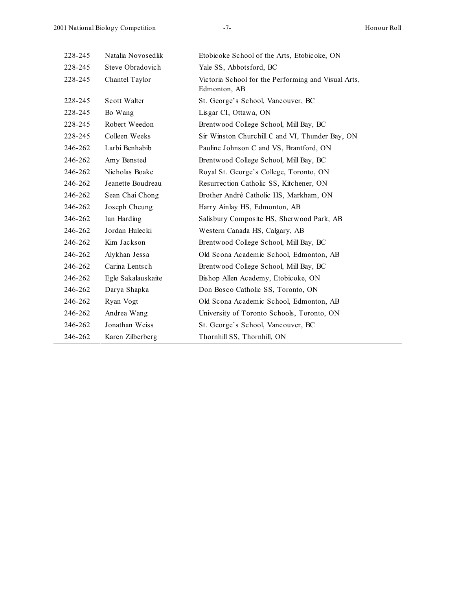| 228-245 | Natalia Novosedlik | Etobicoke School of the Arts, Etobicoke, ON                         |
|---------|--------------------|---------------------------------------------------------------------|
| 228-245 | Steve Obradovich   | Yale SS, Abbotsford, BC                                             |
| 228-245 | Chantel Taylor     | Victoria School for the Performing and Visual Arts,<br>Edmonton, AB |
| 228-245 | Scott Walter       | St. George's School, Vancouver, BC                                  |
| 228-245 | Bo Wang            | Lisgar CI, Ottawa, ON                                               |
| 228-245 | Robert Weedon      | Brentwood College School, Mill Bay, BC                              |
| 228-245 | Colleen Weeks      | Sir Winston Churchill C and VI, Thunder Bay, ON                     |
| 246-262 | Larbi Benhabib     | Pauline Johnson C and VS, Brantford, ON                             |
| 246-262 | Amy Bensted        | Brentwood College School, Mill Bay, BC                              |
| 246-262 | Nicholas Boake     | Royal St. George's College, Toronto, ON                             |
| 246-262 | Jeanette Boudreau  | Resurrection Catholic SS, Kitchener, ON                             |
| 246-262 | Sean Chai Chong    | Brother André Catholic HS, Markham, ON                              |
| 246-262 | Joseph Cheung      | Harry Ainlay HS, Edmonton, AB                                       |
| 246-262 | Ian Harding        | Salisbury Composite HS, Sherwood Park, AB                           |
| 246-262 | Jordan Hulecki     | Western Canada HS, Calgary, AB                                      |
| 246-262 | Kim Jackson        | Brentwood College School, Mill Bay, BC                              |
| 246-262 | Alykhan Jessa      | Old Scona Academic School, Edmonton, AB                             |
| 246-262 | Carina Lentsch     | Brentwood College School, Mill Bay, BC                              |
| 246-262 | Egle Sakalauskaite | Bishop Allen Academy, Etobicoke, ON                                 |
| 246-262 | Darya Shapka       | Don Bosco Catholic SS, Toronto, ON                                  |
| 246-262 | Ryan Vogt          | Old Scona Academic School, Edmonton, AB                             |
| 246-262 | Andrea Wang        | University of Toronto Schools, Toronto, ON                          |
| 246-262 | Jonathan Weiss     | St. George's School, Vancouver, BC                                  |
| 246-262 | Karen Zilberberg   | Thornhill SS, Thornhill, ON                                         |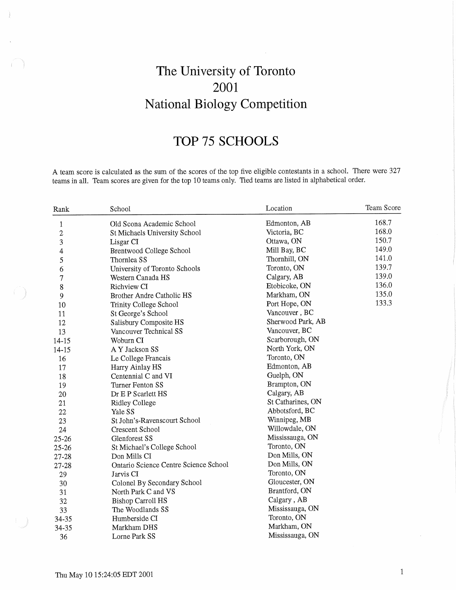# The University of Toronto 2001 National Biology Competition

## TOP 75 SCHOOLS

A team score is calculated as the sum of the scores of the top five eligible contestants in a school. There were 327 teams in all. Team scores are given for the top 10 teams only. Tied teams are listed in alphabetical order.

| Rank           | School                                | Location          | Team Score |
|----------------|---------------------------------------|-------------------|------------|
| $\,1$          | Old Scona Academic School             | Edmonton, AB      | 168.7      |
| $\overline{c}$ | St Michaels University School         | Victoria, BC      | 168.0      |
| 3              | Lisgar CI                             | Ottawa, ON        | 150.7      |
| 4              | Brentwood College School              | Mill Bay, BC      | 149.0      |
| 5              | Thornlea SS                           | Thornhill, ON     | 141.0      |
| 6              | University of Toronto Schools         | Toronto, ON       | 139.7      |
| $\overline{7}$ | Western Canada HS                     | Calgary, AB       | 139.0      |
| 8              | Richview CI                           | Etobicoke, ON     | 136.0      |
| 9              | Brother Andre Catholic HS             | Markham, ON       | 135.0      |
| 10             | Trinity College School                | Port Hope, ON     | 133.3      |
| 11             | St George's School                    | Vancouver, BC     |            |
| 12             | Salisbury Composite HS                | Sherwood Park, AB |            |
| 13             | Vancouver Technical SS                | Vancouver, BC     |            |
| $14 - 15$      | Woburn CI                             | Scarborough, ON   |            |
| $14 - 15$      | A Y Jackson SS                        | North York, ON    |            |
| 16             | Le College Francais                   | Toronto, ON       |            |
| 17             | Harry Ainlay HS                       | Edmonton, AB      |            |
| 18             | Centennial C and VI                   | Guelph, ON        |            |
| 19             | Turner Fenton SS                      | Brampton, ON      |            |
| 20             | Dr E P Scarlett HS                    | Calgary, AB       |            |
| 21             | <b>Ridley College</b>                 | St Catharines, ON |            |
| 22             | Yale SS                               | Abbotsford, BC    |            |
| 23             | St John's-Ravenscourt School          | Winnipeg, MB      |            |
| 24             | Crescent School                       | Willowdale, ON    |            |
| $25 - 26$      | Glenforest SS                         | Mississauga, ON   |            |
| 25-26          | St Michael's College School           | Toronto, ON       |            |
| 27-28          | Don Mills CI                          | Don Mills, ON     |            |
| 27-28          | Ontario Science Centre Science School | Don Mills, ON     |            |
| 29             | Jarvis CI                             | Toronto, ON       |            |
| 30             | Colonel By Secondary School           | Gloucester, ON    |            |
| 31             | North Park C and VS                   | Brantford, ON     |            |
| 32             | <b>Bishop Carroll HS</b>              | Calgary, AB       |            |
| 33             | The Woodlands SS                      | Mississauga, ON   |            |
| 34-35          | Humberside CI                         | Toronto, ON       |            |
| 34-35          | Markham DHS                           | Markham, ON       |            |
| 36             | Lorne Park SS                         | Mississauga, ON   |            |